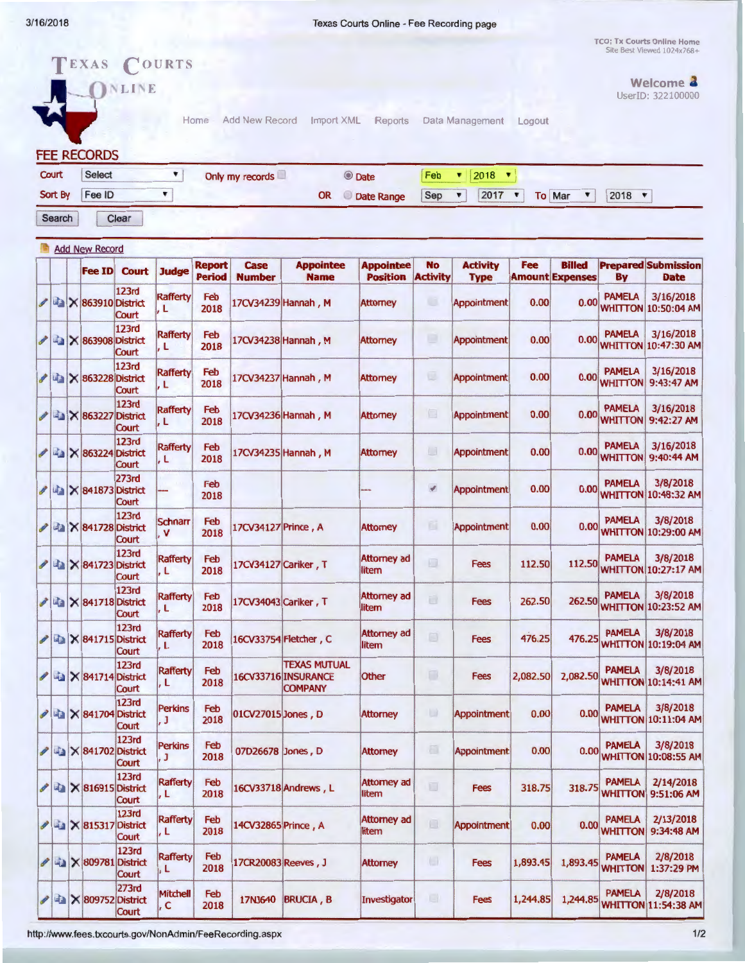3/1 6/2018 Texas Courts Online - Fee Recording page

TCO: Tx Courts Online Home<br>Site Best Viewed  $1024x768 +$ 

TEXAS COURTS INLINE

Welcome **3** UserID: 322100000

FEE RECORDS

| Court            | Select | Only my records |     | C Date     |  | Feb $\bullet$ 2018 $\bullet$                           |  |      |
|------------------|--------|-----------------|-----|------------|--|--------------------------------------------------------|--|------|
| Sort By   Fee ID |        |                 | OR. | Date Range |  | Sep $\mathbf{v}$ 2017 $\mathbf{v}$ To Mar $\mathbf{v}$ |  | 2018 |

Home Add New Record Import XML Reports Data Management Logout

Search Clear

|                          |   | <b>Add New Record</b> |                              |                                                       |                                   |                                |                       |                                                              |                                     |                              |                                |          |                                         |                                 |                                           |
|--------------------------|---|-----------------------|------------------------------|-------------------------------------------------------|-----------------------------------|--------------------------------|-----------------------|--------------------------------------------------------------|-------------------------------------|------------------------------|--------------------------------|----------|-----------------------------------------|---------------------------------|-------------------------------------------|
|                          |   |                       | <b>Fee ID</b>                | <b>Court</b>                                          | <b>Judge</b>                      | <b>Report</b><br><b>Period</b> | Case<br><b>Number</b> | <b>Appointee</b><br><b>Name</b>                              | <b>Appointee</b><br><b>Position</b> | <b>No</b><br><b>Activity</b> | <b>Activity</b><br><b>Type</b> | Fee      | <b>Billed</b><br><b>Amount Expenses</b> | By                              | <b>Prepared Submission</b><br><b>Date</b> |
|                          |   |                       | <b>/ 2 × 863910 District</b> | 123rd<br>Court                                        | <b>Rafferty</b><br>, L            | Feb<br>2018                    |                       | 17CV34239 Hannah, M                                          | <b>Attorney</b>                     | u                            | <b>Appointment</b>             | 0.00     | 0.00                                    | <b>PAMELA</b>                   | 3/16/2018<br><b>WHITTON 10:50:04 AM</b>   |
| I                        |   |                       | X 863908 District            | 123rd<br>Court                                        | <b>Rafferty</b><br>l, L           | Feb<br>2018                    |                       | 17CV34238 Hannah, M                                          | <b>Attorney</b>                     | ▣                            | <b>Appointment</b>             | 0.00     | 0.00                                    | <b>PAMELA</b>                   | 3/16/2018<br><b>WHITTON 10:47:30 AM</b>   |
|                          |   |                       | X 863228 District            | 123rd<br>Court                                        | Rafferty<br>, L                   | Feb<br>2018                    |                       | 17CV34237 Hannah, M                                          | <b>Attomey</b>                      | 巨                            | Appointment                    | 0.00     | 0.00                                    | <b>PAMELA</b><br><b>WHITTON</b> | 3/16/2018<br>9:43:47 AM                   |
| Í                        |   |                       | X 863227 District            | 123rd<br>Court                                        | <b>Rafferty</b><br>l, L           | Feb<br>2018                    |                       | 17CV34236 Hannah, M                                          | <b>Attorney</b>                     | E                            | <b>Appointment</b>             | 0.00     | 0.00                                    | <b>PAMELA</b><br><b>WHITTON</b> | 3/16/2018<br>9:42:27 AM                   |
| I                        | 中 |                       |                              | 123rd<br>X 863224 District<br>Court                   | <b>Rafferty</b><br>, L            | Feb<br>2018                    |                       | 17CV34235 Hannah, M                                          | <b>Attorney</b>                     | $\Box$                       | <b>Appointment</b>             | 0.00     | 0.00                                    | <b>PAMELA</b><br><b>WHITTON</b> | 3/16/2018<br>9:40:44 AM                   |
| $\overline{\mathscr{E}}$ |   |                       | X 841873 District            | 273rd<br>Court                                        |                                   | Feb<br>2018                    |                       |                                                              |                                     | $\mathcal{J}$                | <b>Appointment</b>             | 0.00     | 0.00                                    | <b>PAMELA</b>                   | 3/8/2018<br><b>WHITTON 10:48:32 AM</b>    |
|                          |   |                       |                              | 123rd<br><b>/ △ × 841728 District</b><br>Court        | <b>Schnarr</b><br>v               | Feb<br>2018                    | 17CV34127 Prince, A   |                                                              | <b>Attorney</b>                     | 面                            | Appointment                    | 0.00     | 0.00                                    | <b>PAMELA</b>                   | 3/8/2018<br><b>WHITTON 10:29:00 AM</b>    |
|                          |   |                       |                              | <b>123rd</b><br>LA X 841723 District<br>Court         | <b>Rafferty</b><br>. L            | Feb<br>2018                    | 17CV34127 Cariker, T  |                                                              | <b>Attorney ad</b><br>litem         | 画                            | <b>Fees</b>                    | 112.50   | 112.50                                  | <b>PAMELA</b>                   | 3/8/2018<br><b>WHITTON 10:27:17 AM</b>    |
|                          |   |                       |                              | 123rd<br><b>/ ■ × 841718 District</b><br>Court        | <b>Rafferty</b><br>, L            | Feb<br>2018                    | 17CV34043 Cariker, T  |                                                              | <b>Attorney ad</b><br>litem         | 画                            | <b>Fees</b>                    | 262.50   | 262.50                                  | <b>PAMELA</b>                   | 3/8/2018<br><b>WHITTON 10:23:52 AM</b>    |
|                          |   |                       |                              | <b>123rd</b><br><b>/ ■ × 841715 District</b><br>Court | <b>Rafferty</b><br>. L            | Feb<br>2018                    |                       | 16CV33754 Fletcher, C                                        | Attorney ad<br>litem                | ø                            | <b>Fees</b>                    | 476.25   | 476.25                                  | <b>PAMELA</b>                   | 3/8/2018<br><b>WHITTON 10:19:04 AM</b>    |
|                          |   |                       |                              | <b>123rd</b><br>X 841714 District<br>Court            | <b>Rafferty</b><br>$\overline{L}$ | Feb<br>2018                    |                       | <b>TEXAS MUTUAL</b><br>16CV33716 INSURANCE<br><b>COMPANY</b> | Other                               | O                            | Fees                           | 2,082.50 | 2,082.50                                | <b>PAMELA</b>                   | 3/8/2018<br><b>WHITTON 10:14:41 AM</b>    |
|                          |   |                       |                              | <b>123rd</b><br>X 841704 District<br>Court            | <b>Perkins</b><br>. J             | Feb<br>2018                    | 01CV27015 Jones, D    |                                                              | <b>Attorney</b>                     | $\qquad \qquad \Box$         | <b>Appointment</b>             | 0.00     | 0.00                                    | <b>PAMELA</b>                   | 3/8/2018<br><b>WHITTON 10:11:04 AM</b>    |
|                          |   |                       |                              | 123rd<br>X 841702 District<br>Court                   | <b>Perkins</b><br>, J             | Feb<br>2018                    | 07D26678 Jones, D     |                                                              | <b>Attorney</b>                     | 画                            | <b>Appointment</b>             | 0.00     | 0.00                                    | <b>PAMELA</b>                   | 3/8/2018<br><b>WHITTON 10:08:55 AM</b>    |
|                          |   |                       |                              | 123rd<br>$\angle$ $\approx$ 816915 District<br>Court  | Rafferty<br>ļ, L                  | Feb<br>2018                    |                       | 16CV33718 Andrews, L                                         | Attorney ad<br>litem                |                              | <b>Fees</b>                    | 318.75   | 318.75                                  | <b>PAMELA</b>                   | 2/14/2018<br><b>WHITTON 9:51:06 AM</b>    |
| $\mathscr{J}$            |   |                       |                              | 123rd<br>X 815317 District<br>Court                   | Rafferty<br>, L                   | Feb<br>2018                    | 14CV32865 Prince, A   |                                                              | <b>Attorney ad</b><br>litem         | 回                            | Appointment                    | 0.00     | 0.00                                    | <b>PAMELA</b><br><b>WHITTON</b> | 2/13/2018<br>9:34:48 AM                   |
| I                        |   |                       |                              | 123rd<br>X 809781 District<br>Court                   | Rafferty<br> , L                  | Feb<br>2018                    |                       | 17CR20083 Reeves, J                                          | <b>Attomey</b>                      | $\Box$                       | <b>Fees</b>                    | 1,893.45 | 1,893.45                                | <b>PAMELA</b><br><b>WHITTON</b> | 2/8/2018<br>1:37:29 PM                    |
| I                        |   |                       |                              | 273rd<br><b>A</b> X 809752 District<br>Court          | Mitchell<br>, c                   | Feb<br>2018                    | 17NJ640               | <b>BRUCIA, B</b>                                             | Investigator                        | 圓                            | Fees                           | 1,244.85 | 1,244.85                                | <b>PAMELA</b>                   | 2/8/2018<br><b>WHITTON 11:54:38 AM</b>    |

http://www.fees.txcourts .gov/NonAdmin/FeeRecording.aspx